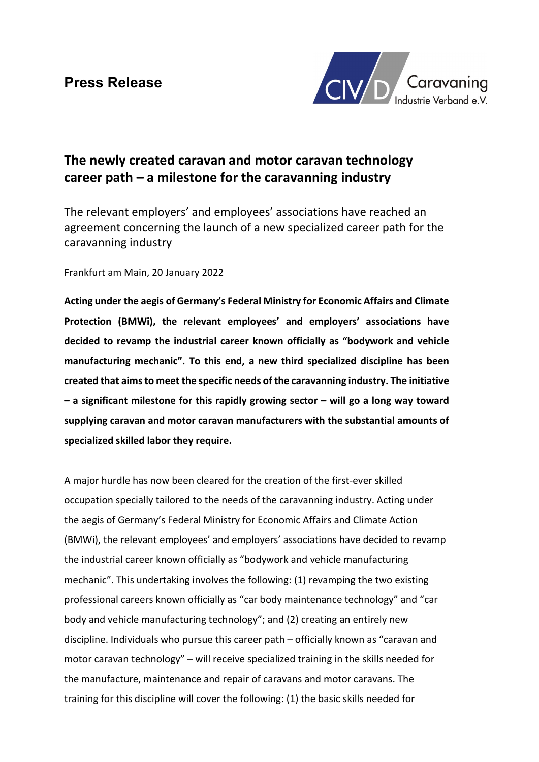

# The newly created caravan and motor caravan technology career path – a milestone for the caravanning industry

The relevant employers' and employees' associations have reached an agreement concerning the launch of a new specialized career path for the caravanning industry

Frankfurt am Main, 20 January 2022

Acting under the aegis of Germany's Federal Ministry for Economic Affairs and Climate Protection (BMWi), the relevant employees' and employers' associations have decided to revamp the industrial career known officially as "bodywork and vehicle manufacturing mechanic". To this end, a new third specialized discipline has been created that aims to meet the specific needs of the caravanning industry. The initiative  $-$  a significant milestone for this rapidly growing sector  $-$  will go a long way toward supplying caravan and motor caravan manufacturers with the substantial amounts of specialized skilled labor they require.

A major hurdle has now been cleared for the creation of the first-ever skilled occupation specially tailored to the needs of the caravanning industry. Acting under the aegis of Germany's Federal Ministry for Economic Affairs and Climate Action (BMWi), the relevant employees' and employers' associations have decided to revamp the industrial career known officially as "bodywork and vehicle manufacturing mechanic". This undertaking involves the following: (1) revamping the two existing professional careers known officially as "car body maintenance technology" and "car body and vehicle manufacturing technology"; and (2) creating an entirely new discipline. Individuals who pursue this career path – officially known as "caravan and motor caravan technology" – will receive specialized training in the skills needed for the manufacture, maintenance and repair of caravans and motor caravans. The training for this discipline will cover the following: (1) the basic skills needed for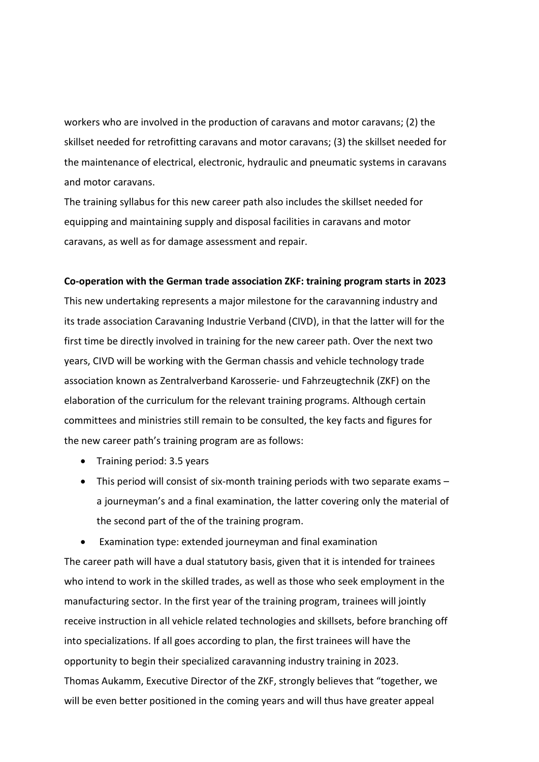workers who are involved in the production of caravans and motor caravans; (2) the skillset needed for retrofitting caravans and motor caravans; (3) the skillset needed for the maintenance of electrical, electronic, hydraulic and pneumatic systems in caravans and motor caravans.

The training syllabus for this new career path also includes the skillset needed for equipping and maintaining supply and disposal facilities in caravans and motor caravans, as well as for damage assessment and repair.

### Co-operation with the German trade association ZKF: training program starts in 2023

This new undertaking represents a major milestone for the caravanning industry and its trade association Caravaning Industrie Verband (CIVD), in that the latter will for the first time be directly involved in training for the new career path. Over the next two years, CIVD will be working with the German chassis and vehicle technology trade association known as Zentralverband Karosserie- und Fahrzeugtechnik (ZKF) on the elaboration of the curriculum for the relevant training programs. Although certain committees and ministries still remain to be consulted, the key facts and figures for the new career path's training program are as follows:

- Training period: 3.5 years
- This period will consist of six-month training periods with two separate exams a journeyman's and a final examination, the latter covering only the material of the second part of the of the training program.
- Examination type: extended journeyman and final examination

The career path will have a dual statutory basis, given that it is intended for trainees who intend to work in the skilled trades, as well as those who seek employment in the manufacturing sector. In the first year of the training program, trainees will jointly receive instruction in all vehicle related technologies and skillsets, before branching off into specializations. If all goes according to plan, the first trainees will have the opportunity to begin their specialized caravanning industry training in 2023. Thomas Aukamm, Executive Director of the ZKF, strongly believes that "together, we will be even better positioned in the coming years and will thus have greater appeal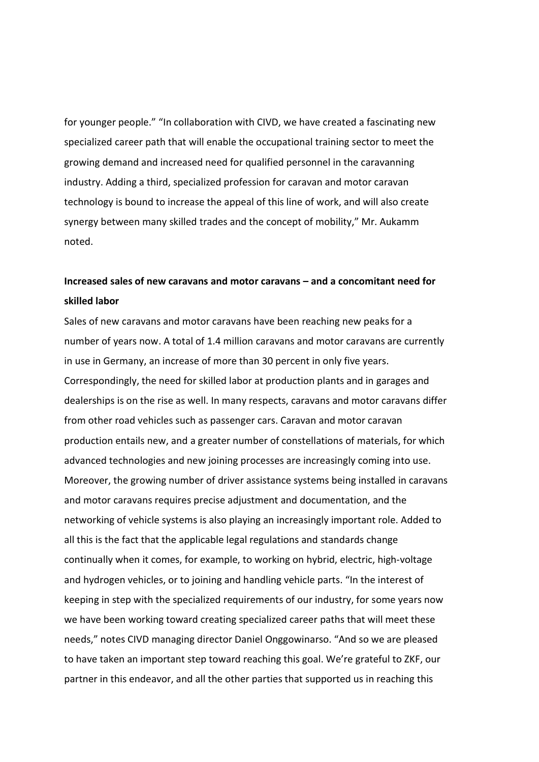for younger people." "In collaboration with CIVD, we have created a fascinating new specialized career path that will enable the occupational training sector to meet the growing demand and increased need for qualified personnel in the caravanning industry. Adding a third, specialized profession for caravan and motor caravan technology is bound to increase the appeal of this line of work, and will also create synergy between many skilled trades and the concept of mobility," Mr. Aukamm noted.

# Increased sales of new caravans and motor caravans – and a concomitant need for skilled labor

Sales of new caravans and motor caravans have been reaching new peaks for a number of years now. A total of 1.4 million caravans and motor caravans are currently in use in Germany, an increase of more than 30 percent in only five years. Correspondingly, the need for skilled labor at production plants and in garages and dealerships is on the rise as well. In many respects, caravans and motor caravans differ from other road vehicles such as passenger cars. Caravan and motor caravan production entails new, and a greater number of constellations of materials, for which advanced technologies and new joining processes are increasingly coming into use. Moreover, the growing number of driver assistance systems being installed in caravans and motor caravans requires precise adjustment and documentation, and the networking of vehicle systems is also playing an increasingly important role. Added to all this is the fact that the applicable legal regulations and standards change continually when it comes, for example, to working on hybrid, electric, high-voltage and hydrogen vehicles, or to joining and handling vehicle parts. "In the interest of keeping in step with the specialized requirements of our industry, for some years now we have been working toward creating specialized career paths that will meet these needs," notes CIVD managing director Daniel Onggowinarso. "And so we are pleased to have taken an important step toward reaching this goal. We're grateful to ZKF, our partner in this endeavor, and all the other parties that supported us in reaching this